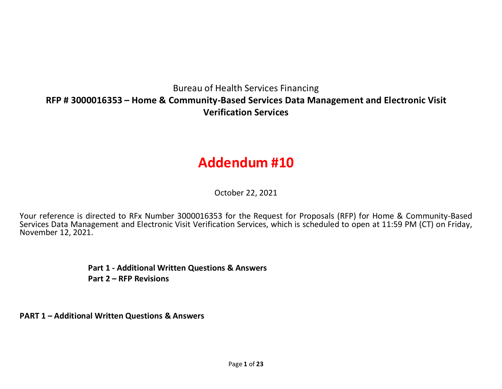## Bureau of Health Services Financing **RFP # 3000016353 – Home & Community-Based Services Data Management and Electronic Visit Verification Services**

# **Addendum #10**

October 22, 2021

Your reference is directed to RFx Number 3000016353 for the Request for Proposals (RFP) for Home & Community-Based Services Data Management and Electronic Visit Verification Services, which is scheduled to open at 11:59 PM (CT) on Friday,<br>November 12, 2021.

> **Part 1 - Additional Written Questions & Answers Part 2 – RFP Revisions**

**PART 1 – Additional Written Questions & Answers**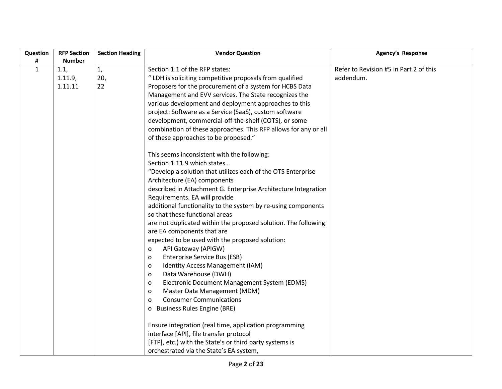| Question     | <b>RFP Section</b> | <b>Section Heading</b> | <b>Vendor Question</b>                                          | <b>Agency's Response</b>               |
|--------------|--------------------|------------------------|-----------------------------------------------------------------|----------------------------------------|
| #            | <b>Number</b>      |                        |                                                                 |                                        |
| $\mathbf{1}$ | 1.1,               | 1,                     | Section 1.1 of the RFP states:                                  | Refer to Revision #5 in Part 2 of this |
|              | 1.11.9,            | 20,                    | " LDH is soliciting competitive proposals from qualified        | addendum.                              |
|              | 1.11.11            | 22                     | Proposers for the procurement of a system for HCBS Data         |                                        |
|              |                    |                        | Management and EVV services. The State recognizes the           |                                        |
|              |                    |                        | various development and deployment approaches to this           |                                        |
|              |                    |                        | project: Software as a Service (SaaS), custom software          |                                        |
|              |                    |                        | development, commercial-off-the-shelf (COTS), or some           |                                        |
|              |                    |                        | combination of these approaches. This RFP allows for any or all |                                        |
|              |                    |                        | of these approaches to be proposed."                            |                                        |
|              |                    |                        |                                                                 |                                        |
|              |                    |                        | This seems inconsistent with the following:                     |                                        |
|              |                    |                        | Section 1.11.9 which states                                     |                                        |
|              |                    |                        | "Develop a solution that utilizes each of the OTS Enterprise    |                                        |
|              |                    |                        | Architecture (EA) components                                    |                                        |
|              |                    |                        | described in Attachment G. Enterprise Architecture Integration  |                                        |
|              |                    |                        | Requirements. EA will provide                                   |                                        |
|              |                    |                        | additional functionality to the system by re-using components   |                                        |
|              |                    |                        | so that these functional areas                                  |                                        |
|              |                    |                        | are not duplicated within the proposed solution. The following  |                                        |
|              |                    |                        | are EA components that are                                      |                                        |
|              |                    |                        | expected to be used with the proposed solution:                 |                                        |
|              |                    |                        | API Gateway (APIGW)<br>o                                        |                                        |
|              |                    |                        | Enterprise Service Bus (ESB)<br>$\circ$                         |                                        |
|              |                    |                        | Identity Access Management (IAM)<br>$\circ$                     |                                        |
|              |                    |                        | Data Warehouse (DWH)<br>$\circ$                                 |                                        |
|              |                    |                        | Electronic Document Management System (EDMS)<br>O               |                                        |
|              |                    |                        | Master Data Management (MDM)<br>$\circ$                         |                                        |
|              |                    |                        | <b>Consumer Communications</b><br>O                             |                                        |
|              |                    |                        | o Business Rules Engine (BRE)                                   |                                        |
|              |                    |                        |                                                                 |                                        |
|              |                    |                        | Ensure integration (real time, application programming          |                                        |
|              |                    |                        | interface [API], file transfer protocol                         |                                        |
|              |                    |                        | [FTP], etc.) with the State's or third party systems is         |                                        |
|              |                    |                        | orchestrated via the State's EA system,                         |                                        |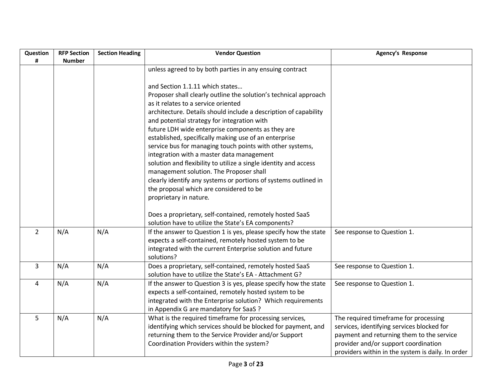| Question       | <b>RFP Section</b> | <b>Section Heading</b> | <b>Vendor Question</b>                                                                                 | Agency's Response                                 |
|----------------|--------------------|------------------------|--------------------------------------------------------------------------------------------------------|---------------------------------------------------|
| #              | <b>Number</b>      |                        | unless agreed to by both parties in any ensuing contract                                               |                                                   |
|                |                    |                        |                                                                                                        |                                                   |
|                |                    |                        | and Section 1.1.11 which states                                                                        |                                                   |
|                |                    |                        | Proposer shall clearly outline the solution's technical approach                                       |                                                   |
|                |                    |                        | as it relates to a service oriented                                                                    |                                                   |
|                |                    |                        | architecture. Details should include a description of capability                                       |                                                   |
|                |                    |                        | and potential strategy for integration with                                                            |                                                   |
|                |                    |                        | future LDH wide enterprise components as they are                                                      |                                                   |
|                |                    |                        | established, specifically making use of an enterprise                                                  |                                                   |
|                |                    |                        | service bus for managing touch points with other systems,<br>integration with a master data management |                                                   |
|                |                    |                        | solution and flexibility to utilize a single identity and access                                       |                                                   |
|                |                    |                        | management solution. The Proposer shall                                                                |                                                   |
|                |                    |                        | clearly identify any systems or portions of systems outlined in                                        |                                                   |
|                |                    |                        | the proposal which are considered to be                                                                |                                                   |
|                |                    |                        | proprietary in nature.                                                                                 |                                                   |
|                |                    |                        |                                                                                                        |                                                   |
|                |                    |                        | Does a proprietary, self-contained, remotely hosted SaaS                                               |                                                   |
|                |                    |                        | solution have to utilize the State's EA components?                                                    |                                                   |
| $\overline{2}$ | N/A                | N/A                    | If the answer to Question 1 is yes, please specify how the state                                       | See response to Question 1.                       |
|                |                    |                        | expects a self-contained, remotely hosted system to be                                                 |                                                   |
|                |                    |                        | integrated with the current Enterprise solution and future<br>solutions?                               |                                                   |
| $\overline{3}$ | N/A                | N/A                    | Does a proprietary, self-contained, remotely hosted SaaS                                               | See response to Question 1.                       |
|                |                    |                        | solution have to utilize the State's EA - Attachment G?                                                |                                                   |
| 4              | N/A                | N/A                    | If the answer to Question 3 is yes, please specify how the state                                       | See response to Question 1.                       |
|                |                    |                        | expects a self-contained, remotely hosted system to be                                                 |                                                   |
|                |                    |                        | integrated with the Enterprise solution? Which requirements                                            |                                                   |
|                |                    |                        | in Appendix G are mandatory for SaaS ?                                                                 |                                                   |
| 5              | N/A                | N/A                    | What is the required timeframe for processing services,                                                | The required timeframe for processing             |
|                |                    |                        | identifying which services should be blocked for payment, and                                          | services, identifying services blocked for        |
|                |                    |                        | returning them to the Service Provider and/or Support                                                  | payment and returning them to the service         |
|                |                    |                        | Coordination Providers within the system?                                                              | provider and/or support coordination              |
|                |                    |                        |                                                                                                        | providers within in the system is daily. In order |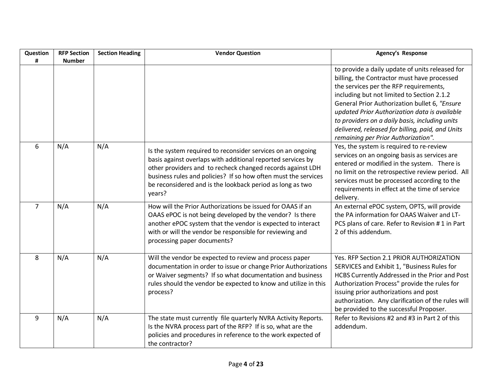| Question       | <b>RFP Section</b> | <b>Section Heading</b> | <b>Vendor Question</b>                                                                                                                                                                                                                                                                                                            | <b>Agency's Response</b>                                                                                                                                                                                                                                                                                                                                                                                                              |
|----------------|--------------------|------------------------|-----------------------------------------------------------------------------------------------------------------------------------------------------------------------------------------------------------------------------------------------------------------------------------------------------------------------------------|---------------------------------------------------------------------------------------------------------------------------------------------------------------------------------------------------------------------------------------------------------------------------------------------------------------------------------------------------------------------------------------------------------------------------------------|
| #              | <b>Number</b>      |                        |                                                                                                                                                                                                                                                                                                                                   |                                                                                                                                                                                                                                                                                                                                                                                                                                       |
|                |                    |                        |                                                                                                                                                                                                                                                                                                                                   | to provide a daily update of units released for<br>billing, the Contractor must have processed<br>the services per the RFP requirements,<br>including but not limited to Section 2.1.2<br>General Prior Authorization bullet 6, "Ensure<br>updated Prior Authorization data is available<br>to providers on a daily basis, including units<br>delivered, released for billing, paid, and Units<br>remaining per Prior Authorization". |
| 6              | N/A                | N/A                    | Is the system required to reconsider services on an ongoing<br>basis against overlaps with additional reported services by<br>other providers and to recheck changed records against LDH<br>business rules and policies? If so how often must the services<br>be reconsidered and is the lookback period as long as two<br>years? | Yes, the system is required to re-review<br>services on an ongoing basis as services are<br>entered or modified in the system. There is<br>no limit on the retrospective review period. All<br>services must be processed according to the<br>requirements in effect at the time of service<br>delivery.                                                                                                                              |
| $\overline{7}$ | N/A                | N/A                    | How will the Prior Authorizations be issued for OAAS if an<br>OAAS ePOC is not being developed by the vendor? Is there<br>another ePOC system that the vendor is expected to interact<br>with or will the vendor be responsible for reviewing and<br>processing paper documents?                                                  | An external ePOC system, OPTS, will provide<br>the PA information for OAAS Waiver and LT-<br>PCS plans of care. Refer to Revision #1 in Part<br>2 of this addendum.                                                                                                                                                                                                                                                                   |
| 8              | N/A                | N/A                    | Will the vendor be expected to review and process paper<br>documentation in order to issue or change Prior Authorizations<br>or Waiver segments? If so what documentation and business<br>rules should the vendor be expected to know and utilize in this<br>process?                                                             | Yes. RFP Section 2.1 PRIOR AUTHORIZATION<br>SERVICES and Exhibit 1, "Business Rules for<br>HCBS Currently Addressed in the Prior and Post<br>Authorization Process" provide the rules for<br>issuing prior authorizations and post<br>authorization. Any clarification of the rules will<br>be provided to the successful Proposer.                                                                                                   |
| 9              | N/A                | N/A                    | The state must currently file quarterly NVRA Activity Reports.<br>Is the NVRA process part of the RFP? If is so, what are the<br>policies and procedures in reference to the work expected of<br>the contractor?                                                                                                                  | Refer to Revisions #2 and #3 in Part 2 of this<br>addendum.                                                                                                                                                                                                                                                                                                                                                                           |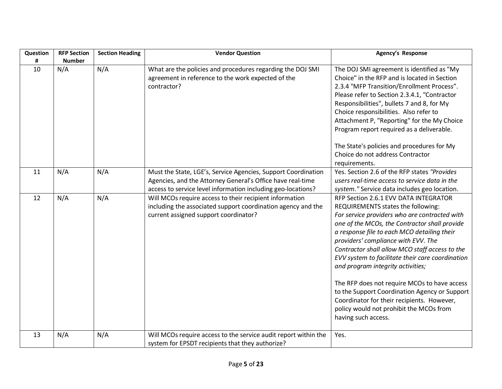| Question | <b>RFP Section</b>   | <b>Section Heading</b> | <b>Vendor Question</b>                                                                                                                                                                      | <b>Agency's Response</b>                                                                                                                                                                                                                                                                                                                                                                                                                                                                                                                                                                                                        |
|----------|----------------------|------------------------|---------------------------------------------------------------------------------------------------------------------------------------------------------------------------------------------|---------------------------------------------------------------------------------------------------------------------------------------------------------------------------------------------------------------------------------------------------------------------------------------------------------------------------------------------------------------------------------------------------------------------------------------------------------------------------------------------------------------------------------------------------------------------------------------------------------------------------------|
| #<br>10  | <b>Number</b><br>N/A | N/A                    | What are the policies and procedures regarding the DOJ SMI<br>agreement in reference to the work expected of the<br>contractor?                                                             | The DOJ SMI agreement is identified as "My<br>Choice" in the RFP and is located in Section<br>2.3.4 "MFP Transition/Enrollment Process".<br>Please refer to Section 2.3.4.1, "Contractor<br>Responsibilities", bullets 7 and 8, for My<br>Choice responsibilities. Also refer to<br>Attachment P, "Reporting" for the My Choice<br>Program report required as a deliverable.<br>The State's policies and procedures for My<br>Choice do not address Contractor                                                                                                                                                                  |
| 11       | N/A                  | N/A                    | Must the State, LGE's, Service Agencies, Support Coordination<br>Agencies, and the Attorney General's Office have real-time<br>access to service level information including geo-locations? | requirements.<br>Yes. Section 2.6 of the RFP states "Provides<br>users real-time access to service data in the<br>system." Service data includes geo location.                                                                                                                                                                                                                                                                                                                                                                                                                                                                  |
| 12       | N/A                  | N/A                    | Will MCOs require access to their recipient information<br>including the associated support coordination agency and the<br>current assigned support coordinator?                            | RFP Section 2.6.1 EVV DATA INTEGRATOR<br>REQUIREMENTS states the following:<br>For service providers who are contracted with<br>one of the MCOs, the Contractor shall provide<br>a response file to each MCO detailing their<br>providers' compliance with EVV. The<br>Contractor shall allow MCO staff access to the<br>EVV system to facilitate their care coordination<br>and program integrity activities;<br>The RFP does not require MCOs to have access<br>to the Support Coordination Agency or Support<br>Coordinator for their recipients. However,<br>policy would not prohibit the MCOs from<br>having such access. |
| 13       | N/A                  | N/A                    | Will MCOs require access to the service audit report within the<br>system for EPSDT recipients that they authorize?                                                                         | Yes.                                                                                                                                                                                                                                                                                                                                                                                                                                                                                                                                                                                                                            |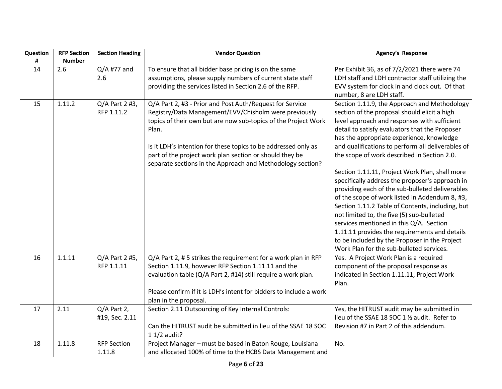| Question | <b>RFP Section</b> | <b>Section Heading</b> | <b>Vendor Question</b>                                                         | Agency's Response                                 |
|----------|--------------------|------------------------|--------------------------------------------------------------------------------|---------------------------------------------------|
| #        | <b>Number</b>      |                        |                                                                                |                                                   |
| 14       | 2.6                | $Q/A$ #77 and          | To ensure that all bidder base pricing is on the same                          | Per Exhibit 36, as of 7/2/2021 there were 74      |
|          |                    | 2.6                    | assumptions, please supply numbers of current state staff                      | LDH staff and LDH contractor staff utilizing the  |
|          |                    |                        | providing the services listed in Section 2.6 of the RFP.                       | EVV system for clock in and clock out. Of that    |
|          |                    |                        |                                                                                | number, 8 are LDH staff.                          |
| 15       | 1.11.2             | $Q/A$ Part 2 #3,       | Q/A Part 2, #3 - Prior and Post Auth/Request for Service                       | Section 1.11.9, the Approach and Methodology      |
|          |                    | RFP 1.11.2             | Registry/Data Management/EVV/Chisholm were previously                          | section of the proposal should elicit a high      |
|          |                    |                        | topics of their own but are now sub-topics of the Project Work                 | level approach and responses with sufficient      |
|          |                    |                        | Plan.                                                                          | detail to satisfy evaluators that the Proposer    |
|          |                    |                        |                                                                                | has the appropriate experience, knowledge         |
|          |                    |                        | Is it LDH's intention for these topics to be addressed only as                 | and qualifications to perform all deliverables of |
|          |                    |                        | part of the project work plan section or should they be                        | the scope of work described in Section 2.0.       |
|          |                    |                        | separate sections in the Approach and Methodology section?                     |                                                   |
|          |                    |                        |                                                                                | Section 1.11.11, Project Work Plan, shall more    |
|          |                    |                        |                                                                                | specifically address the proposer's approach in   |
|          |                    |                        |                                                                                | providing each of the sub-bulleted deliverables   |
|          |                    |                        |                                                                                | of the scope of work listed in Addendum 8, #3,    |
|          |                    |                        |                                                                                | Section 1.11.2 Table of Contents, including, but  |
|          |                    |                        |                                                                                | not limited to, the five (5) sub-bulleted         |
|          |                    |                        |                                                                                | services mentioned in this Q/A. Section           |
|          |                    |                        |                                                                                | 1.11.11 provides the requirements and details     |
|          |                    |                        |                                                                                | to be included by the Proposer in the Project     |
|          |                    |                        |                                                                                | Work Plan for the sub-bulleted services.          |
| 16       | 1.1.11             | Q/A Part 2 #5,         | Q/A Part 2, #5 strikes the requirement for a work plan in RFP                  | Yes. A Project Work Plan is a required            |
|          |                    | RFP 1.1.11             | Section 1.11.9, however RFP Section 1.11.11 and the                            | component of the proposal response as             |
|          |                    |                        | evaluation table (Q/A Part 2, #14) still require a work plan.                  | indicated in Section 1.11.11, Project Work        |
|          |                    |                        |                                                                                | Plan.                                             |
|          |                    |                        | Please confirm if it is LDH's intent for bidders to include a work             |                                                   |
|          |                    |                        | plan in the proposal.                                                          |                                                   |
| 17       | 2.11               | Q/A Part 2,            | Section 2.11 Outsourcing of Key Internal Controls:                             | Yes, the HITRUST audit may be submitted in        |
|          |                    | #19, Sec. 2.11         |                                                                                | lieu of the SSAE 18 SOC 1 1/2 audit. Refer to     |
|          |                    |                        | Can the HITRUST audit be submitted in lieu of the SSAE 18 SOC<br>$11/2$ audit? | Revision #7 in Part 2 of this addendum.           |
| 18       | 1.11.8             | <b>RFP Section</b>     | Project Manager - must be based in Baton Rouge, Louisiana                      | No.                                               |
|          |                    | 1.11.8                 | and allocated 100% of time to the HCBS Data Management and                     |                                                   |
|          |                    |                        |                                                                                |                                                   |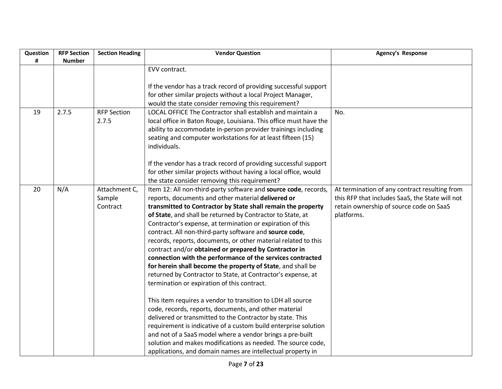| Question | <b>RFP Section</b> | <b>Section Heading</b> | <b>Vendor Question</b>                                            | <b>Agency's Response</b>                        |
|----------|--------------------|------------------------|-------------------------------------------------------------------|-------------------------------------------------|
| #        | <b>Number</b>      |                        |                                                                   |                                                 |
|          |                    |                        | EVV contract.                                                     |                                                 |
|          |                    |                        |                                                                   |                                                 |
|          |                    |                        | If the vendor has a track record of providing successful support  |                                                 |
|          |                    |                        | for other similar projects without a local Project Manager,       |                                                 |
|          |                    |                        | would the state consider removing this requirement?               |                                                 |
| 19       | 2.7.5              | <b>RFP Section</b>     | LOCAL OFFICE The Contractor shall establish and maintain a        | No.                                             |
|          |                    | 2.7.5                  | local office in Baton Rouge, Louisiana. This office must have the |                                                 |
|          |                    |                        | ability to accommodate in-person provider trainings including     |                                                 |
|          |                    |                        | seating and computer workstations for at least fifteen (15)       |                                                 |
|          |                    |                        | individuals.                                                      |                                                 |
|          |                    |                        |                                                                   |                                                 |
|          |                    |                        | If the vendor has a track record of providing successful support  |                                                 |
|          |                    |                        | for other similar projects without having a local office, would   |                                                 |
|          |                    |                        | the state consider removing this requirement?                     |                                                 |
| 20       | N/A                | Attachment C,          | Item 12: All non-third-party software and source code, records,   | At termination of any contract resulting from   |
|          |                    | Sample                 | reports, documents and other material delivered or                | this RFP that includes SaaS, the State will not |
|          |                    | Contract               | transmitted to Contractor by State shall remain the property      | retain ownership of source code on SaaS         |
|          |                    |                        | of State, and shall be returned by Contractor to State, at        | platforms.                                      |
|          |                    |                        | Contractor's expense, at termination or expiration of this        |                                                 |
|          |                    |                        | contract. All non-third-party software and source code,           |                                                 |
|          |                    |                        | records, reports, documents, or other material related to this    |                                                 |
|          |                    |                        | contract and/or obtained or prepared by Contractor in             |                                                 |
|          |                    |                        | connection with the performance of the services contracted        |                                                 |
|          |                    |                        | for herein shall become the property of State, and shall be       |                                                 |
|          |                    |                        | returned by Contractor to State, at Contractor's expense, at      |                                                 |
|          |                    |                        | termination or expiration of this contract.                       |                                                 |
|          |                    |                        | This item requires a vendor to transition to LDH all source       |                                                 |
|          |                    |                        | code, records, reports, documents, and other material             |                                                 |
|          |                    |                        | delivered or transmitted to the Contractor by state. This         |                                                 |
|          |                    |                        | requirement is indicative of a custom build enterprise solution   |                                                 |
|          |                    |                        | and not of a SaaS model where a vendor brings a pre-built         |                                                 |
|          |                    |                        | solution and makes modifications as needed. The source code,      |                                                 |
|          |                    |                        | applications, and domain names are intellectual property in       |                                                 |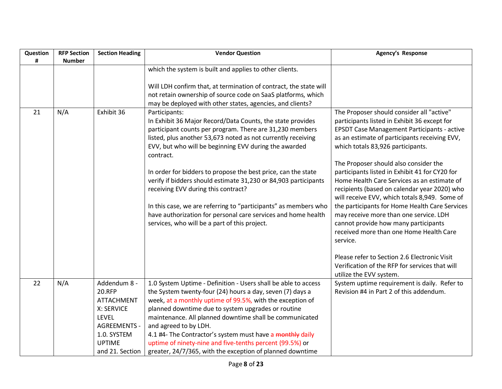| Question<br># | <b>RFP Section</b><br><b>Number</b> | <b>Section Heading</b>                                                                                          | <b>Vendor Question</b>                                                                                                                                                                                                                                                                                                                                                                          | Agency's Response                                                                                                                                                                                                                                                                         |
|---------------|-------------------------------------|-----------------------------------------------------------------------------------------------------------------|-------------------------------------------------------------------------------------------------------------------------------------------------------------------------------------------------------------------------------------------------------------------------------------------------------------------------------------------------------------------------------------------------|-------------------------------------------------------------------------------------------------------------------------------------------------------------------------------------------------------------------------------------------------------------------------------------------|
|               |                                     |                                                                                                                 | which the system is built and applies to other clients.                                                                                                                                                                                                                                                                                                                                         |                                                                                                                                                                                                                                                                                           |
|               |                                     |                                                                                                                 | Will LDH confirm that, at termination of contract, the state will<br>not retain ownership of source code on SaaS platforms, which<br>may be deployed with other states, agencies, and clients?                                                                                                                                                                                                  |                                                                                                                                                                                                                                                                                           |
| 21            | N/A                                 | Exhibit 36                                                                                                      | Participants:<br>In Exhibit 36 Major Record/Data Counts, the state provides<br>participant counts per program. There are 31,230 members<br>listed, plus another 53,673 noted as not currently receiving<br>EVV, but who will be beginning EVV during the awarded<br>contract.                                                                                                                   | The Proposer should consider all "active"<br>participants listed in Exhibit 36 except for<br><b>EPSDT Case Management Participants - active</b><br>as an estimate of participants receiving EVV,<br>which totals 83,926 participants.                                                     |
|               |                                     |                                                                                                                 | In order for bidders to propose the best price, can the state<br>verify if bidders should estimate 31,230 or 84,903 participants<br>receiving EVV during this contract?<br>In this case, we are referring to "participants" as members who                                                                                                                                                      | The Proposer should also consider the<br>participants listed in Exhibit 41 for CY20 for<br>Home Health Care Services as an estimate of<br>recipients (based on calendar year 2020) who<br>will receive EVV, which totals 8,949. Some of<br>the participants for Home Health Care Services |
|               |                                     |                                                                                                                 | have authorization for personal care services and home health<br>services, who will be a part of this project.                                                                                                                                                                                                                                                                                  | may receive more than one service. LDH<br>cannot provide how many participants<br>received more than one Home Health Care<br>service.                                                                                                                                                     |
|               |                                     |                                                                                                                 |                                                                                                                                                                                                                                                                                                                                                                                                 | Please refer to Section 2.6 Electronic Visit<br>Verification of the RFP for services that will<br>utilize the EVV system.                                                                                                                                                                 |
| 22            | N/A                                 | Addendum 8 -<br>20.RFP<br><b>ATTACHMENT</b><br>X: SERVICE<br><b>LEVEL</b><br><b>AGREEMENTS -</b><br>1.0. SYSTEM | 1.0 System Uptime - Definition - Users shall be able to access<br>the System twenty-four (24) hours a day, seven (7) days a<br>week, at a monthly uptime of 99.5%, with the exception of<br>planned downtime due to system upgrades or routine<br>maintenance. All planned downtime shall be communicated<br>and agreed to by LDH.<br>4.1 #4- The Contractor's system must have a monthly daily | System uptime requirement is daily. Refer to<br>Revision #4 in Part 2 of this addendum.                                                                                                                                                                                                   |
|               |                                     | <b>UPTIME</b><br>and 21. Section                                                                                | uptime of ninety-nine and five-tenths percent (99.5%) or<br>greater, 24/7/365, with the exception of planned downtime                                                                                                                                                                                                                                                                           |                                                                                                                                                                                                                                                                                           |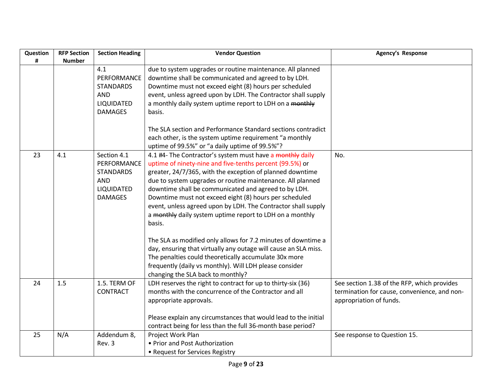| Question | <b>RFP Section</b> | <b>Section Heading</b>                                                                       | <b>Vendor Question</b>                                                                                                                                                                                                                                                                                                                                                                                                                                                                                    | Agency's Response                                                                                                      |
|----------|--------------------|----------------------------------------------------------------------------------------------|-----------------------------------------------------------------------------------------------------------------------------------------------------------------------------------------------------------------------------------------------------------------------------------------------------------------------------------------------------------------------------------------------------------------------------------------------------------------------------------------------------------|------------------------------------------------------------------------------------------------------------------------|
| #        | <b>Number</b>      | 4.1<br>PERFORMANCE<br><b>STANDARDS</b><br><b>AND</b><br>LIQUIDATED<br><b>DAMAGES</b>         | due to system upgrades or routine maintenance. All planned<br>downtime shall be communicated and agreed to by LDH.<br>Downtime must not exceed eight (8) hours per scheduled<br>event, unless agreed upon by LDH. The Contractor shall supply<br>a monthly daily system uptime report to LDH on a monthly<br>basis.                                                                                                                                                                                       |                                                                                                                        |
|          |                    |                                                                                              | The SLA section and Performance Standard sections contradict<br>each other, is the system uptime requirement "a monthly<br>uptime of 99.5%" or "a daily uptime of 99.5%"?                                                                                                                                                                                                                                                                                                                                 |                                                                                                                        |
| 23       | 4.1                | Section 4.1<br>PERFORMANCE<br><b>STANDARDS</b><br><b>AND</b><br>LIQUIDATED<br><b>DAMAGES</b> | 4.1 #4- The Contractor's system must have a monthly daily<br>uptime of ninety-nine and five-tenths percent (99.5%) or<br>greater, 24/7/365, with the exception of planned downtime<br>due to system upgrades or routine maintenance. All planned<br>downtime shall be communicated and agreed to by LDH.<br>Downtime must not exceed eight (8) hours per scheduled<br>event, unless agreed upon by LDH. The Contractor shall supply<br>a monthly daily system uptime report to LDH on a monthly<br>basis. | No.                                                                                                                    |
|          |                    |                                                                                              | The SLA as modified only allows for 7.2 minutes of downtime a<br>day, ensuring that virtually any outage will cause an SLA miss.<br>The penalties could theoretically accumulate 30x more<br>frequently (daily vs monthly). Will LDH please consider<br>changing the SLA back to monthly?                                                                                                                                                                                                                 |                                                                                                                        |
| 24       | 1.5                | 1.5. TERM OF<br><b>CONTRACT</b>                                                              | LDH reserves the right to contract for up to thirty-six (36)<br>months with the concurrence of the Contractor and all<br>appropriate approvals.<br>Please explain any circumstances that would lead to the initial                                                                                                                                                                                                                                                                                        | See section 1.38 of the RFP, which provides<br>termination for cause, convenience, and non-<br>appropriation of funds. |
|          |                    |                                                                                              | contract being for less than the full 36-month base period?                                                                                                                                                                                                                                                                                                                                                                                                                                               |                                                                                                                        |
| 25       | N/A                | Addendum 8,<br>Rev. 3                                                                        | Project Work Plan<br>• Prior and Post Authorization<br>• Request for Services Registry                                                                                                                                                                                                                                                                                                                                                                                                                    | See response to Question 15.                                                                                           |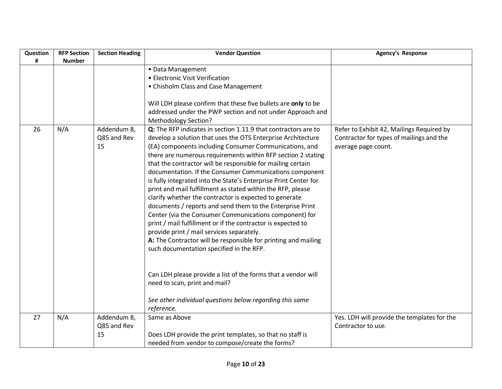| Question | <b>RFP Section</b> | <b>Section Heading</b>           | <b>Vendor Question</b>                                                                                                                                                                                                                                                                                                                                                                                                                                                                                                                                                                                                                                                                                                                                                                                                                                                                                                                                                                                                              | <b>Agency's Response</b>                                                                                     |
|----------|--------------------|----------------------------------|-------------------------------------------------------------------------------------------------------------------------------------------------------------------------------------------------------------------------------------------------------------------------------------------------------------------------------------------------------------------------------------------------------------------------------------------------------------------------------------------------------------------------------------------------------------------------------------------------------------------------------------------------------------------------------------------------------------------------------------------------------------------------------------------------------------------------------------------------------------------------------------------------------------------------------------------------------------------------------------------------------------------------------------|--------------------------------------------------------------------------------------------------------------|
| #        | <b>Number</b>      |                                  |                                                                                                                                                                                                                                                                                                                                                                                                                                                                                                                                                                                                                                                                                                                                                                                                                                                                                                                                                                                                                                     |                                                                                                              |
|          |                    |                                  | • Data Management                                                                                                                                                                                                                                                                                                                                                                                                                                                                                                                                                                                                                                                                                                                                                                                                                                                                                                                                                                                                                   |                                                                                                              |
|          |                    |                                  | • Electronic Visit Verification                                                                                                                                                                                                                                                                                                                                                                                                                                                                                                                                                                                                                                                                                                                                                                                                                                                                                                                                                                                                     |                                                                                                              |
|          |                    |                                  | • Chisholm Class and Case Management                                                                                                                                                                                                                                                                                                                                                                                                                                                                                                                                                                                                                                                                                                                                                                                                                                                                                                                                                                                                |                                                                                                              |
|          |                    |                                  | Will LDH please confirm that these five bullets are only to be<br>addressed under the PWP section and not under Approach and<br><b>Methodology Section?</b>                                                                                                                                                                                                                                                                                                                                                                                                                                                                                                                                                                                                                                                                                                                                                                                                                                                                         |                                                                                                              |
| 26       | N/A                | Addendum 8,<br>Q85 and Rev<br>15 | Q: The RFP indicates in section 1.11.9 that contractors are to<br>develop a solution that uses the OTS Enterprise Architecture<br>(EA) components including Consumer Communications, and<br>there are numerous requirements within RFP section 2 stating<br>that the contractor will be responsible for mailing certain<br>documentation. If the Consumer Communications component<br>is fully integrated into the State's Enterprise Print Center for<br>print and mail fulfillment as stated within the RFP, please<br>clarify whether the contractor is expected to generate<br>documents / reports and send them to the Enterprise Print<br>Center (via the Consumer Communications component) for<br>print / mail fulfillment or if the contractor is expected to<br>provide print / mail services separately.<br>A: The Contractor will be responsible for printing and mailing<br>such documentation specified in the RFP.<br>Can LDH please provide a list of the forms that a vendor will<br>need to scan, print and mail? | Refer to Exhibit 42, Mailings Required by<br>Contractor for types of mailings and the<br>average page count. |
|          |                    |                                  | See other individual questions below regarding this same<br>reference.                                                                                                                                                                                                                                                                                                                                                                                                                                                                                                                                                                                                                                                                                                                                                                                                                                                                                                                                                              |                                                                                                              |
| 27       | N/A                | Addendum 8,<br>Q85 and Rev       | Same as Above                                                                                                                                                                                                                                                                                                                                                                                                                                                                                                                                                                                                                                                                                                                                                                                                                                                                                                                                                                                                                       | Yes. LDH will provide the templates for the<br>Contractor to use.                                            |
|          |                    | 15                               | Does LDH provide the print templates, so that no staff is<br>needed from vendor to compose/create the forms?                                                                                                                                                                                                                                                                                                                                                                                                                                                                                                                                                                                                                                                                                                                                                                                                                                                                                                                        |                                                                                                              |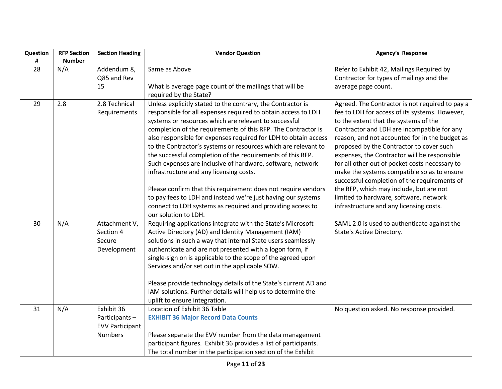| Question | <b>RFP Section</b> | <b>Section Heading</b> | <b>Vendor Question</b>                                                                                                        | <b>Agency's Response</b>                                                          |
|----------|--------------------|------------------------|-------------------------------------------------------------------------------------------------------------------------------|-----------------------------------------------------------------------------------|
| #        | <b>Number</b>      |                        |                                                                                                                               |                                                                                   |
| 28       | N/A                | Addendum 8,            | Same as Above                                                                                                                 | Refer to Exhibit 42, Mailings Required by                                         |
|          |                    | Q85 and Rev            |                                                                                                                               | Contractor for types of mailings and the                                          |
|          |                    | 15                     | What is average page count of the mailings that will be                                                                       | average page count.                                                               |
|          |                    |                        | required by the State?                                                                                                        |                                                                                   |
| 29       | 2.8                | 2.8 Technical          | Unless explicitly stated to the contrary, the Contractor is                                                                   | Agreed. The Contractor is not required to pay a                                   |
|          |                    | Requirements           | responsible for all expenses required to obtain access to LDH                                                                 | fee to LDH for access of its systems. However,                                    |
|          |                    |                        | systems or resources which are relevant to successful                                                                         | to the extent that the systems of the                                             |
|          |                    |                        | completion of the requirements of this RFP. The Contractor is                                                                 | Contractor and LDH are incompatible for any                                       |
|          |                    |                        | also responsible for expenses required for LDH to obtain access                                                               | reason, and not accounted for in the budget as                                    |
|          |                    |                        | to the Contractor's systems or resources which are relevant to                                                                | proposed by the Contractor to cover such                                          |
|          |                    |                        | the successful completion of the requirements of this RFP.                                                                    | expenses, the Contractor will be responsible                                      |
|          |                    |                        | Such expenses are inclusive of hardware, software, network                                                                    | for all other out of pocket costs necessary to                                    |
|          |                    |                        | infrastructure and any licensing costs.                                                                                       | make the systems compatible so as to ensure                                       |
|          |                    |                        |                                                                                                                               | successful completion of the requirements of                                      |
|          |                    |                        | Please confirm that this requirement does not require vendors<br>to pay fees to LDH and instead we're just having our systems | the RFP, which may include, but are not<br>limited to hardware, software, network |
|          |                    |                        | connect to LDH systems as required and providing access to                                                                    | infrastructure and any licensing costs.                                           |
|          |                    |                        | our solution to LDH.                                                                                                          |                                                                                   |
| 30       | N/A                | Attachment V,          | Requiring applications integrate with the State's Microsoft                                                                   | SAML 2.0 is used to authenticate against the                                      |
|          |                    | Section 4              | Active Directory (AD) and Identity Management (IAM)                                                                           | State's Active Directory.                                                         |
|          |                    | Secure                 | solutions in such a way that internal State users seamlessly                                                                  |                                                                                   |
|          |                    | Development            | authenticate and are not presented with a logon form, if                                                                      |                                                                                   |
|          |                    |                        | single-sign on is applicable to the scope of the agreed upon                                                                  |                                                                                   |
|          |                    |                        | Services and/or set out in the applicable SOW.                                                                                |                                                                                   |
|          |                    |                        |                                                                                                                               |                                                                                   |
|          |                    |                        | Please provide technology details of the State's current AD and                                                               |                                                                                   |
|          |                    |                        | IAM solutions. Further details will help us to determine the                                                                  |                                                                                   |
|          |                    |                        | uplift to ensure integration.                                                                                                 |                                                                                   |
| 31       | N/A                | Exhibit 36             | Location of Exhibit 36 Table                                                                                                  | No question asked. No response provided.                                          |
|          |                    | Participants-          | <b>EXHIBIT 36 Major Record Data Counts</b>                                                                                    |                                                                                   |
|          |                    | <b>EVV Participant</b> |                                                                                                                               |                                                                                   |
|          |                    | <b>Numbers</b>         | Please separate the EVV number from the data management                                                                       |                                                                                   |
|          |                    |                        | participant figures. Exhibit 36 provides a list of participants.                                                              |                                                                                   |
|          |                    |                        | The total number in the participation section of the Exhibit                                                                  |                                                                                   |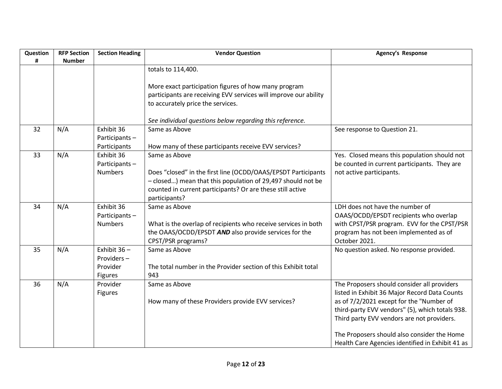| Question<br># | <b>RFP Section</b><br><b>Number</b> | <b>Section Heading</b>       | <b>Vendor Question</b>                                           | Agency's Response                                |
|---------------|-------------------------------------|------------------------------|------------------------------------------------------------------|--------------------------------------------------|
|               |                                     |                              | totals to 114,400.                                               |                                                  |
|               |                                     |                              |                                                                  |                                                  |
|               |                                     |                              | More exact participation figures of how many program             |                                                  |
|               |                                     |                              | participants are receiving EVV services will improve our ability |                                                  |
|               |                                     |                              | to accurately price the services.                                |                                                  |
|               |                                     |                              | See individual questions below regarding this reference.         |                                                  |
| 32            | N/A                                 | Exhibit 36<br>Participants-  | Same as Above                                                    | See response to Question 21.                     |
|               |                                     | Participants                 | How many of these participants receive EVV services?             |                                                  |
| 33            | N/A                                 | Exhibit 36                   | Same as Above                                                    | Yes. Closed means this population should not     |
|               |                                     | Participants-                |                                                                  | be counted in current participants. They are     |
|               |                                     | <b>Numbers</b>               | Does "closed" in the first line (OCDD/OAAS/EPSDT Participants    | not active participants.                         |
|               |                                     |                              | - closed) mean that this population of 29,497 should not be      |                                                  |
|               |                                     |                              | counted in current participants? Or are these still active       |                                                  |
|               |                                     |                              | participants?                                                    |                                                  |
| 34            | N/A                                 | Exhibit 36                   | Same as Above                                                    | LDH does not have the number of                  |
|               |                                     | Participants-                |                                                                  | OAAS/OCDD/EPSDT recipients who overlap           |
|               |                                     | <b>Numbers</b>               | What is the overlap of recipients who receive services in both   | with CPST/PSR program. EVV for the CPST/PSR      |
|               |                                     |                              | the OAAS/OCDD/EPSDT AND also provide services for the            | program has not been implemented as of           |
|               |                                     |                              | CPST/PSR programs?                                               | October 2021.                                    |
| 35            | N/A                                 | Exhibit $36 -$<br>Providers- | Same as Above                                                    | No question asked. No response provided.         |
|               |                                     | Provider                     | The total number in the Provider section of this Exhibit total   |                                                  |
|               |                                     | Figures                      | 943                                                              |                                                  |
| 36            | N/A                                 | Provider                     | Same as Above                                                    | The Proposers should consider all providers      |
|               |                                     | <b>Figures</b>               |                                                                  | listed in Exhibit 36 Major Record Data Counts    |
|               |                                     |                              | How many of these Providers provide EVV services?                | as of 7/2/2021 except for the "Number of         |
|               |                                     |                              |                                                                  | third-party EVV vendors" (5), which totals 938.  |
|               |                                     |                              |                                                                  | Third party EVV vendors are not providers.       |
|               |                                     |                              |                                                                  | The Proposers should also consider the Home      |
|               |                                     |                              |                                                                  | Health Care Agencies identified in Exhibit 41 as |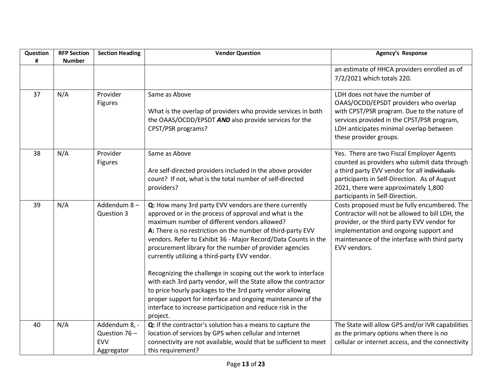| Question | <b>RFP Section</b> | <b>Section Heading</b>                                     | <b>Vendor Question</b>                                                                                                                                                                                                                                                                                                                                                                                                                                                                                                                                                                                                                                                                                                                                  | <b>Agency's Response</b>                                                                                                                                                                                                                                             |
|----------|--------------------|------------------------------------------------------------|---------------------------------------------------------------------------------------------------------------------------------------------------------------------------------------------------------------------------------------------------------------------------------------------------------------------------------------------------------------------------------------------------------------------------------------------------------------------------------------------------------------------------------------------------------------------------------------------------------------------------------------------------------------------------------------------------------------------------------------------------------|----------------------------------------------------------------------------------------------------------------------------------------------------------------------------------------------------------------------------------------------------------------------|
| #        | <b>Number</b>      |                                                            |                                                                                                                                                                                                                                                                                                                                                                                                                                                                                                                                                                                                                                                                                                                                                         | an estimate of HHCA providers enrolled as of<br>7/2/2021 which totals 220.                                                                                                                                                                                           |
| 37       | N/A                | Provider<br><b>Figures</b>                                 | Same as Above<br>What is the overlap of providers who provide services in both<br>the OAAS/OCDD/EPSDT AND also provide services for the<br>CPST/PSR programs?                                                                                                                                                                                                                                                                                                                                                                                                                                                                                                                                                                                           | LDH does not have the number of<br>OAAS/OCDD/EPSDT providers who overlap<br>with CPST/PSR program. Due to the nature of<br>services provided in the CPST/PSR program,<br>LDH anticipates minimal overlap between<br>these provider groups.                           |
| 38       | N/A                | Provider<br><b>Figures</b>                                 | Same as Above<br>Are self-directed providers included in the above provider<br>count? If not, what is the total number of self-directed<br>providers?                                                                                                                                                                                                                                                                                                                                                                                                                                                                                                                                                                                                   | Yes. There are two Fiscal Employer Agents<br>counted as providers who submit data through<br>a third party EVV vendor for all individuals<br>participants in Self-Direction. As of August<br>2021, there were approximately 1,800<br>participants in Self-Direction. |
| 39       | N/A                | Addendum 8-<br>Question 3                                  | Q: How many 3rd party EVV vendors are there currently<br>approved or in the process of approval and what is the<br>maximum number of different vendors allowed?<br>A: There is no restriction on the number of third-party EVV<br>vendors. Refer to Exhibit 36 - Major Record/Data Counts in the<br>procurement library for the number of provider agencies<br>currently utilizing a third-party EVV vendor.<br>Recognizing the challenge in scoping out the work to interface<br>with each 3rd party vendor, will the State allow the contractor<br>to price hourly packages to the 3rd party vendor allowing<br>proper support for interface and ongoing maintenance of the<br>interface to increase participation and reduce risk in the<br>project. | Costs proposed must be fully encumbered. The<br>Contractor will not be allowed to bill LDH, the<br>provider, or the third party EVV vendor for<br>implementation and ongoing support and<br>maintenance of the interface with third party<br>EVV vendors.            |
| 40       | N/A                | Addendum 8, -<br>Question 76 -<br><b>EVV</b><br>Aggregator | Q: If the contractor's solution has a means to capture the<br>location of services by GPS when cellular and internet<br>connectivity are not available, would that be sufficient to meet<br>this requirement?                                                                                                                                                                                                                                                                                                                                                                                                                                                                                                                                           | The State will allow GPS and/or IVR capabilities<br>as the primary options when there is no<br>cellular or internet access, and the connectivity                                                                                                                     |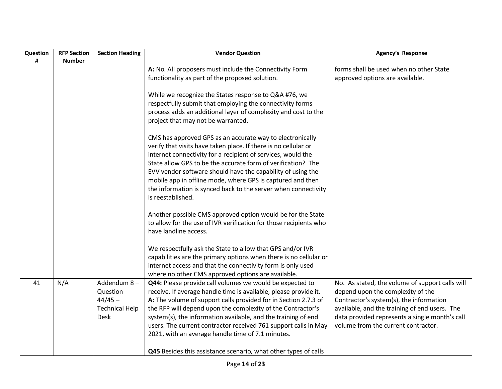| Question | <b>RFP Section</b> | <b>Section Heading</b> | <b>Vendor Question</b>                                            | <b>Agency's Response</b>                        |
|----------|--------------------|------------------------|-------------------------------------------------------------------|-------------------------------------------------|
| #        | <b>Number</b>      |                        |                                                                   |                                                 |
|          |                    |                        | A: No. All proposers must include the Connectivity Form           | forms shall be used when no other State         |
|          |                    |                        | functionality as part of the proposed solution.                   | approved options are available.                 |
|          |                    |                        |                                                                   |                                                 |
|          |                    |                        | While we recognize the States response to Q&A #76, we             |                                                 |
|          |                    |                        | respectfully submit that employing the connectivity forms         |                                                 |
|          |                    |                        | process adds an additional layer of complexity and cost to the    |                                                 |
|          |                    |                        | project that may not be warranted.                                |                                                 |
|          |                    |                        | CMS has approved GPS as an accurate way to electronically         |                                                 |
|          |                    |                        | verify that visits have taken place. If there is no cellular or   |                                                 |
|          |                    |                        | internet connectivity for a recipient of services, would the      |                                                 |
|          |                    |                        | State allow GPS to be the accurate form of verification? The      |                                                 |
|          |                    |                        | EVV vendor software should have the capability of using the       |                                                 |
|          |                    |                        | mobile app in offline mode, where GPS is captured and then        |                                                 |
|          |                    |                        | the information is synced back to the server when connectivity    |                                                 |
|          |                    |                        | is reestablished.                                                 |                                                 |
|          |                    |                        |                                                                   |                                                 |
|          |                    |                        | Another possible CMS approved option would be for the State       |                                                 |
|          |                    |                        | to allow for the use of IVR verification for those recipients who |                                                 |
|          |                    |                        | have landline access.                                             |                                                 |
|          |                    |                        |                                                                   |                                                 |
|          |                    |                        | We respectfully ask the State to allow that GPS and/or IVR        |                                                 |
|          |                    |                        | capabilities are the primary options when there is no cellular or |                                                 |
|          |                    |                        | internet access and that the connectivity form is only used       |                                                 |
|          |                    |                        | where no other CMS approved options are available.                |                                                 |
| 41       | N/A                | Addendum 8-            | Q44: Please provide call volumes we would be expected to          | No. As stated, the volume of support calls will |
|          |                    | Question               | receive. If average handle time is available, please provide it.  | depend upon the complexity of the               |
|          |                    | $44/45 -$              | A: The volume of support calls provided for in Section 2.7.3 of   | Contractor's system(s), the information         |
|          |                    | <b>Technical Help</b>  | the RFP will depend upon the complexity of the Contractor's       | available, and the training of end users. The   |
|          |                    | <b>Desk</b>            | system(s), the information available, and the training of end     | data provided represents a single month's call  |
|          |                    |                        | users. The current contractor received 761 support calls in May   | volume from the current contractor.             |
|          |                    |                        | 2021, with an average handle time of 7.1 minutes.                 |                                                 |
|          |                    |                        |                                                                   |                                                 |
|          |                    |                        | Q45 Besides this assistance scenario, what other types of calls   |                                                 |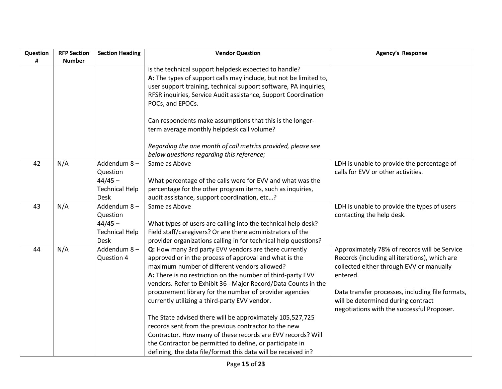| Question | <b>RFP Section</b> | <b>Section Heading</b> | <b>Vendor Question</b>                                            | Agency's Response                                |
|----------|--------------------|------------------------|-------------------------------------------------------------------|--------------------------------------------------|
| #        | <b>Number</b>      |                        | is the technical support helpdesk expected to handle?             |                                                  |
|          |                    |                        | A: The types of support calls may include, but not be limited to, |                                                  |
|          |                    |                        | user support training, technical support software, PA inquiries,  |                                                  |
|          |                    |                        | RFSR inquiries, Service Audit assistance, Support Coordination    |                                                  |
|          |                    |                        | POCs, and EPOCs.                                                  |                                                  |
|          |                    |                        |                                                                   |                                                  |
|          |                    |                        | Can respondents make assumptions that this is the longer-         |                                                  |
|          |                    |                        | term average monthly helpdesk call volume?                        |                                                  |
|          |                    |                        | Regarding the one month of call metrics provided, please see      |                                                  |
|          |                    |                        | below questions regarding this reference;                         |                                                  |
| 42       | N/A                | Addendum 8-            | Same as Above                                                     | LDH is unable to provide the percentage of       |
|          |                    | Question               |                                                                   | calls for EVV or other activities.               |
|          |                    | $44/45 -$              | What percentage of the calls were for EVV and what was the        |                                                  |
|          |                    | <b>Technical Help</b>  | percentage for the other program items, such as inquiries,        |                                                  |
|          |                    | <b>Desk</b>            | audit assistance, support coordination, etc?                      |                                                  |
| 43       | N/A                | Addendum 8-            | Same as Above                                                     | LDH is unable to provide the types of users      |
|          |                    | Question               |                                                                   | contacting the help desk.                        |
|          |                    | $44/45 -$              | What types of users are calling into the technical help desk?     |                                                  |
|          |                    | <b>Technical Help</b>  | Field staff/caregivers? Or are there administrators of the        |                                                  |
|          |                    | <b>Desk</b>            | provider organizations calling in for technical help questions?   |                                                  |
| 44       | N/A                | Addendum 8-            | Q: How many 3rd party EVV vendors are there currently             | Approximately 78% of records will be Service     |
|          |                    | Question 4             | approved or in the process of approval and what is the            | Records (including all iterations), which are    |
|          |                    |                        | maximum number of different vendors allowed?                      | collected either through EVV or manually         |
|          |                    |                        | A: There is no restriction on the number of third-party EVV       | entered.                                         |
|          |                    |                        | vendors. Refer to Exhibit 36 - Major Record/Data Counts in the    |                                                  |
|          |                    |                        | procurement library for the number of provider agencies           | Data transfer processes, including file formats, |
|          |                    |                        | currently utilizing a third-party EVV vendor.                     | will be determined during contract               |
|          |                    |                        |                                                                   | negotiations with the successful Proposer.       |
|          |                    |                        | The State advised there will be approximately 105,527,725         |                                                  |
|          |                    |                        | records sent from the previous contractor to the new              |                                                  |
|          |                    |                        | Contractor. How many of these records are EVV records? Will       |                                                  |
|          |                    |                        | the Contractor be permitted to define, or participate in          |                                                  |
|          |                    |                        | defining, the data file/format this data will be received in?     |                                                  |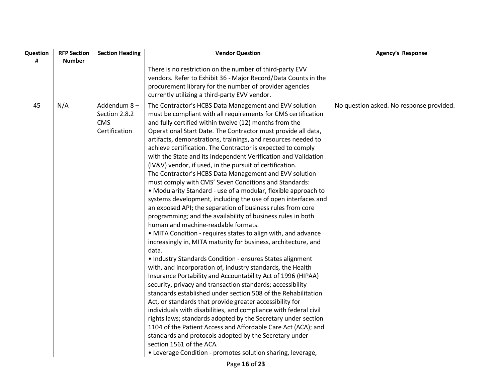| Question | <b>RFP Section</b> | <b>Section Heading</b> | <b>Vendor Question</b>                                           | <b>Agency's Response</b>                 |
|----------|--------------------|------------------------|------------------------------------------------------------------|------------------------------------------|
| #        | <b>Number</b>      |                        |                                                                  |                                          |
|          |                    |                        | There is no restriction on the number of third-party EVV         |                                          |
|          |                    |                        | vendors. Refer to Exhibit 36 - Major Record/Data Counts in the   |                                          |
|          |                    |                        | procurement library for the number of provider agencies          |                                          |
|          |                    |                        | currently utilizing a third-party EVV vendor.                    |                                          |
| 45       | N/A                | Addendum 8-            | The Contractor's HCBS Data Management and EVV solution           | No question asked. No response provided. |
|          |                    | Section 2.8.2          | must be compliant with all requirements for CMS certification    |                                          |
|          |                    | <b>CMS</b>             | and fully certified within twelve (12) months from the           |                                          |
|          |                    | Certification          | Operational Start Date. The Contractor must provide all data,    |                                          |
|          |                    |                        | artifacts, demonstrations, trainings, and resources needed to    |                                          |
|          |                    |                        | achieve certification. The Contractor is expected to comply      |                                          |
|          |                    |                        | with the State and its Independent Verification and Validation   |                                          |
|          |                    |                        | (IV&V) vendor, if used, in the pursuit of certification.         |                                          |
|          |                    |                        | The Contractor's HCBS Data Management and EVV solution           |                                          |
|          |                    |                        | must comply with CMS' Seven Conditions and Standards:            |                                          |
|          |                    |                        | • Modularity Standard - use of a modular, flexible approach to   |                                          |
|          |                    |                        | systems development, including the use of open interfaces and    |                                          |
|          |                    |                        | an exposed API; the separation of business rules from core       |                                          |
|          |                    |                        | programming; and the availability of business rules in both      |                                          |
|          |                    |                        | human and machine-readable formats.                              |                                          |
|          |                    |                        | • MITA Condition - requires states to align with, and advance    |                                          |
|          |                    |                        | increasingly in, MITA maturity for business, architecture, and   |                                          |
|          |                    |                        | data.                                                            |                                          |
|          |                    |                        | • Industry Standards Condition - ensures States alignment        |                                          |
|          |                    |                        | with, and incorporation of, industry standards, the Health       |                                          |
|          |                    |                        | Insurance Portability and Accountability Act of 1996 (HIPAA)     |                                          |
|          |                    |                        | security, privacy and transaction standards; accessibility       |                                          |
|          |                    |                        | standards established under section 508 of the Rehabilitation    |                                          |
|          |                    |                        | Act, or standards that provide greater accessibility for         |                                          |
|          |                    |                        | individuals with disabilities, and compliance with federal civil |                                          |
|          |                    |                        | rights laws; standards adopted by the Secretary under section    |                                          |
|          |                    |                        | 1104 of the Patient Access and Affordable Care Act (ACA); and    |                                          |
|          |                    |                        | standards and protocols adopted by the Secretary under           |                                          |
|          |                    |                        | section 1561 of the ACA.                                         |                                          |
|          |                    |                        | • Leverage Condition - promotes solution sharing, leverage,      |                                          |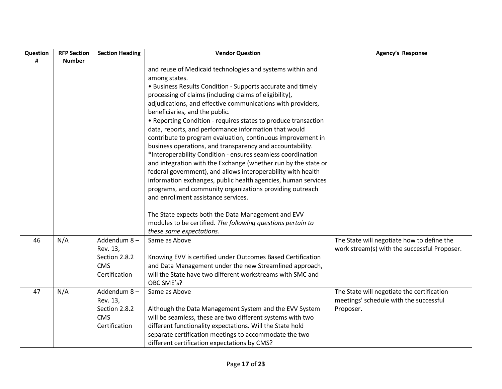| Question | <b>RFP Section</b> | <b>Section Heading</b> | <b>Vendor Question</b>                                         | Agency's Response                            |
|----------|--------------------|------------------------|----------------------------------------------------------------|----------------------------------------------|
| #        | <b>Number</b>      |                        |                                                                |                                              |
|          |                    |                        | and reuse of Medicaid technologies and systems within and      |                                              |
|          |                    |                        | among states.                                                  |                                              |
|          |                    |                        | • Business Results Condition - Supports accurate and timely    |                                              |
|          |                    |                        | processing of claims (including claims of eligibility),        |                                              |
|          |                    |                        | adjudications, and effective communications with providers,    |                                              |
|          |                    |                        | beneficiaries, and the public.                                 |                                              |
|          |                    |                        | • Reporting Condition - requires states to produce transaction |                                              |
|          |                    |                        | data, reports, and performance information that would          |                                              |
|          |                    |                        | contribute to program evaluation, continuous improvement in    |                                              |
|          |                    |                        | business operations, and transparency and accountability.      |                                              |
|          |                    |                        | *Interoperability Condition - ensures seamless coordination    |                                              |
|          |                    |                        | and integration with the Exchange (whether run by the state or |                                              |
|          |                    |                        | federal government), and allows interoperability with health   |                                              |
|          |                    |                        | information exchanges, public health agencies, human services  |                                              |
|          |                    |                        | programs, and community organizations providing outreach       |                                              |
|          |                    |                        | and enrollment assistance services.                            |                                              |
|          |                    |                        | The State expects both the Data Management and EVV             |                                              |
|          |                    |                        | modules to be certified. The following questions pertain to    |                                              |
|          |                    |                        | these same expectations.                                       |                                              |
| 46       | N/A                | Addendum 8-            | Same as Above                                                  | The State will negotiate how to define the   |
|          |                    | Rev. 13,               |                                                                | work stream(s) with the successful Proposer. |
|          |                    | Section 2.8.2          | Knowing EVV is certified under Outcomes Based Certification    |                                              |
|          |                    | <b>CMS</b>             | and Data Management under the new Streamlined approach,        |                                              |
|          |                    | Certification          | will the State have two different workstreams with SMC and     |                                              |
|          |                    |                        | OBC SME's?                                                     |                                              |
| 47       | N/A                | Addendum 8-            | Same as Above                                                  | The State will negotiate the certification   |
|          |                    | Rev. 13,               |                                                                | meetings' schedule with the successful       |
|          |                    | Section 2.8.2          | Although the Data Management System and the EVV System         | Proposer.                                    |
|          |                    | <b>CMS</b>             | will be seamless, these are two different systems with two     |                                              |
|          |                    | Certification          | different functionality expectations. Will the State hold      |                                              |
|          |                    |                        | separate certification meetings to accommodate the two         |                                              |
|          |                    |                        | different certification expectations by CMS?                   |                                              |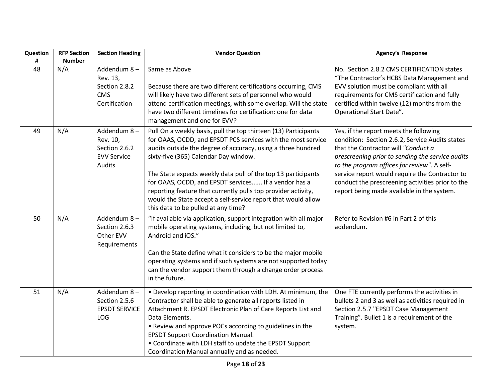| Question<br># | <b>RFP Section</b><br><b>Number</b> | <b>Section Heading</b>                                                   | <b>Vendor Question</b>                                                                                                                                                                                                                                                                                                                                                                                                                                                                                                                     | <b>Agency's Response</b>                                                                                                                                                                                                                                                                                                                                                                |
|---------------|-------------------------------------|--------------------------------------------------------------------------|--------------------------------------------------------------------------------------------------------------------------------------------------------------------------------------------------------------------------------------------------------------------------------------------------------------------------------------------------------------------------------------------------------------------------------------------------------------------------------------------------------------------------------------------|-----------------------------------------------------------------------------------------------------------------------------------------------------------------------------------------------------------------------------------------------------------------------------------------------------------------------------------------------------------------------------------------|
| 48            | N/A                                 | Addendum 8-<br>Rev. 13,<br>Section 2.8.2<br><b>CMS</b><br>Certification  | Same as Above<br>Because there are two different certifications occurring, CMS<br>will likely have two different sets of personnel who would<br>attend certification meetings, with some overlap. Will the state<br>have two different timelines for certification: one for data<br>management and one for EVV?                                                                                                                                                                                                                            | No. Section 2.8.2 CMS CERTIFICATION states<br>"The Contractor's HCBS Data Management and<br>EVV solution must be compliant with all<br>requirements for CMS certification and fully<br>certified within twelve (12) months from the<br>Operational Start Date".                                                                                                                         |
| 49            | N/A                                 | Addendum 8-<br>Rev. 10,<br>Section 2.6.2<br><b>EVV Service</b><br>Audits | Pull On a weekly basis, pull the top thirteen (13) Participants<br>for OAAS, OCDD, and EPSDT PCS services with the most service<br>audits outside the degree of accuracy, using a three hundred<br>sixty-five (365) Calendar Day window.<br>The State expects weekly data pull of the top 13 participants<br>for OAAS, OCDD, and EPSDT services If a vendor has a<br>reporting feature that currently pulls top provider activity,<br>would the State accept a self-service report that would allow<br>this data to be pulled at any time? | Yes, if the report meets the following<br>condition: Section 2.6.2, Service Audits states<br>that the Contractor will "Conduct a<br>prescreening prior to sending the service audits<br>to the program offices for review". A self-<br>service report would require the Contractor to<br>conduct the prescreening activities prior to the<br>report being made available in the system. |
| 50            | N/A                                 | Addendum 8-<br>Section 2.6.3<br>Other EVV<br>Requirements                | "If available via application, support integration with all major<br>mobile operating systems, including, but not limited to,<br>Android and iOS."<br>Can the State define what it considers to be the major mobile<br>operating systems and if such systems are not supported today<br>can the vendor support them through a change order process<br>in the future.                                                                                                                                                                       | Refer to Revision #6 in Part 2 of this<br>addendum.                                                                                                                                                                                                                                                                                                                                     |
| 51            | N/A                                 | Addendum 8-<br>Section 2.5.6<br><b>EPSDT SERVICE</b><br><b>LOG</b>       | . Develop reporting in coordination with LDH. At minimum, the<br>Contractor shall be able to generate all reports listed in<br>Attachment R. EPSDT Electronic Plan of Care Reports List and<br>Data Elements.<br>• Review and approve POCs according to guidelines in the<br><b>EPSDT Support Coordination Manual.</b><br>• Coordinate with LDH staff to update the EPSDT Support<br>Coordination Manual annually and as needed.                                                                                                           | One FTE currently performs the activities in<br>bullets 2 and 3 as well as activities required in<br>Section 2.5.7 "EPSDT Case Management<br>Training". Bullet 1 is a requirement of the<br>system.                                                                                                                                                                                     |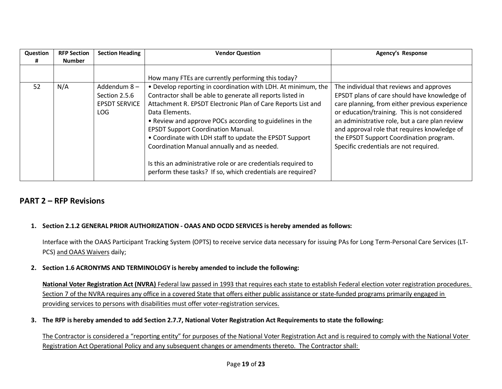| Question | <b>RFP Section</b> | <b>Section Heading</b> | <b>Vendor Question</b>                                                                                                       | <b>Agency's Response</b>                       |
|----------|--------------------|------------------------|------------------------------------------------------------------------------------------------------------------------------|------------------------------------------------|
|          | <b>Number</b>      |                        |                                                                                                                              |                                                |
|          |                    |                        |                                                                                                                              |                                                |
|          |                    |                        | How many FTEs are currently performing this today?                                                                           |                                                |
| 52       | N/A                | Addendum 8-            | • Develop reporting in coordination with LDH. At minimum, the                                                                | The individual that reviews and approves       |
|          |                    | Section 2.5.6          | Contractor shall be able to generate all reports listed in                                                                   | EPSDT plans of care should have knowledge of   |
|          |                    | <b>EPSDT SERVICE</b>   | Attachment R. EPSDT Electronic Plan of Care Reports List and                                                                 | care planning, from either previous experience |
|          |                    | LOG.                   | Data Elements.                                                                                                               | or education/training. This is not considered  |
|          |                    |                        | • Review and approve POCs according to guidelines in the                                                                     | an administrative role, but a care plan review |
|          |                    |                        | <b>EPSDT Support Coordination Manual.</b>                                                                                    | and approval role that requires knowledge of   |
|          |                    |                        | • Coordinate with LDH staff to update the EPSDT Support                                                                      | the EPSDT Support Coordination program.        |
|          |                    |                        | Coordination Manual annually and as needed.                                                                                  | Specific credentials are not required.         |
|          |                    |                        | Is this an administrative role or are credentials required to<br>perform these tasks? If so, which credentials are required? |                                                |
|          |                    |                        |                                                                                                                              |                                                |

### **PART 2 – RFP Revisions**

#### **1. Section 2.1.2 GENERAL PRIOR AUTHORIZATION - OAAS AND OCDD SERVICES is hereby amended as follows:**

Interface with the OAAS Participant Tracking System (OPTS) to receive service data necessary for issuing PAs for Long Term-Personal Care Services (LT-PCS) and OAAS Waivers daily;

#### **2. Section 1.6 ACRONYMS AND TERMINOLOGY is hereby amended to include the following:**

**National Voter Registration Act (NVRA)** Federal law passed in 1993 that requires each state to establish Federal election voter registration procedures. Section 7 of the NVRA requires any office in a covered State that offers either public assistance or state-funded programs primarily engaged in providing services to persons with disabilities must offer voter-registration services.

**3. The RFP is hereby amended to add Section 2.7.7, National Voter Registration Act Requirements to state the following:**

The Contractor is considered a "reporting entity" for purposes of the National Voter Registration Act and is required to comply with the National Voter Registration Act Operational Policy and any subsequent changes or amendments thereto. The Contractor shall: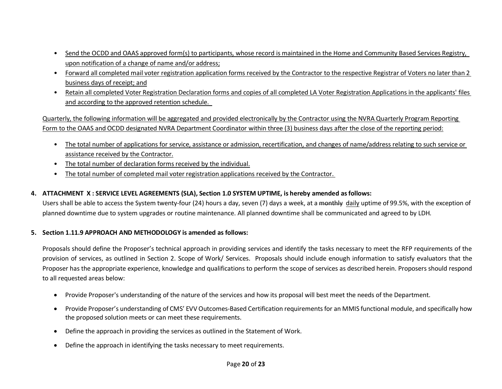- Send the OCDD and OAAS approved form(s) to participants, whose record is maintained in the Home and Community Based Services Registry, upon notification of a change of name and/or address;
- Forward all completed mail voter registration application forms received by the Contractor to the respective Registrar of Voters no later than 2 business days of receipt; and
- Retain all completed Voter Registration Declaration forms and copies of all completed LA Voter Registration Applications in the applicants' files and according to the approved retention schedule.

Quarterly, the following information will be aggregated and provided electronically by the Contractor using the NVRA Quarterly Program Reporting Form to the OAAS and OCDD designated NVRA Department Coordinator within three (3) business days after the close of the reporting period:

- The total number of applications for service, assistance or admission, recertification, and changes of name/address relating to such service or assistance received by the Contractor.
- The total number of declaration forms received by the individual.
- The total number of completed mail voter registration applications received by the Contractor.

#### **4. ATTACHMENT X : SERVICE LEVEL AGREEMENTS (SLA), Section 1.0 SYSTEM UPTIME, is hereby amended as follows:**

Users shall be able to access the System twenty-four (24) hours a day, seven (7) days a week, at a monthly daily uptime of 99.5%, with the exception of planned downtime due to system upgrades or routine maintenance. All planned downtime shall be communicated and agreed to by LDH.

#### **5. Section 1.11.9 APPROACH AND METHODOLOGY is amended as follows:**

Proposals should define the Proposer's technical approach in providing services and identify the tasks necessary to meet the RFP requirements of the provision of services, as outlined in Section 2. Scope of Work/ Services. Proposals should include enough information to satisfy evaluators that the Proposer has the appropriate experience, knowledge and qualifications to perform the scope of services as described herein. Proposers should respond to all requested areas below:

- Provide Proposer's understanding of the nature of the services and how its proposal will best meet the needs of the Department.
- Provide Proposer's understanding of CMS' EVV Outcomes-Based Certification requirements for an MMIS functional module, and specifically how the proposed solution meets or can meet these requirements.
- Define the approach in providing the services as outlined in the Statement of Work.
- Define the approach in identifying the tasks necessary to meet requirements.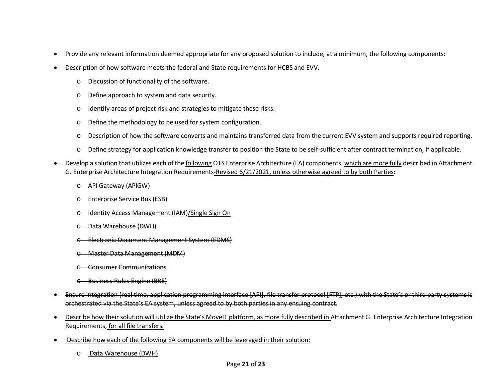- Provide any relevant information deemed appropriate for any proposed solution to include, at a minimum, the following components:
- Description of how software meets the federal and State requirements for HCBS and EVV.
	- o Discussion of functionality of the software.
	- o Define approach to system and data security.
	- o Identify areas of project risk and strategies to mitigate these risks.
	- o Define the methodology to be used for system configuration.
	- o Description of how the software converts and maintains transferred data from the current EVV system and supports required reporting.
	- o Define strategy for application knowledge transfer to position the State to be self-sufficient after contract termination, if applicable.
- Develop a solution that utilizes each of the following OTS Enterprise Architecture (EA) components, which are more fully described in Attachment G. Enterprise Architecture Integration Requirements-Revised 6/21/2021, unless otherwise agreed to by both Parties:
	- o API Gateway (APIGW)
	- o Enterprise Service Bus (ESB)
	- o Identity Access Management (IAM)/Single Sign On
	- o Data Warehouse (DWH)
	- o Electronic Document Management System (EDMS)
	- **Master Data Management (MDM)**
	- **Consumer Communications**
	- o Business Rules Engine (BRE)
- Ensure integration (real time, application programming interface [API], file transfer protocol [FTP], etc.) with the State's or third party systems is orchestrated via the State's EA system, unless agreed to by both parties in any ensuing contract.
- Describe how their solution will utilize the State's MoveIT platform, as more fully described in Attachment G. Enterprise Architecture Integration Requirements, for all file transfers.
- Describe how each of the following EA components will be leveraged in their solution:
	- o Data Warehouse (DWH)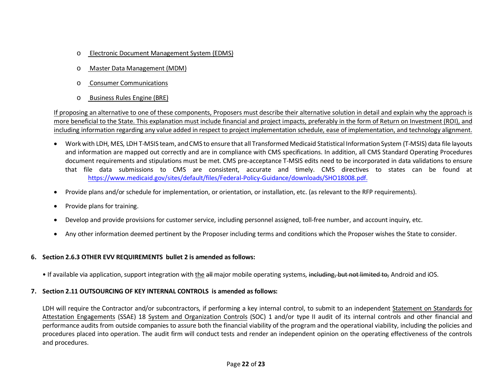- o Electronic Document Management System (EDMS)
- o Master Data Management (MDM)
- o Consumer Communications
- o Business Rules Engine (BRE)

If proposing an alternative to one of these components, Proposers must describe their alternative solution in detail and explain why the approach is more beneficial to the State. This explanation must include financial and project impacts, preferably in the form of Return on Investment (ROI), and including information regarding any value added in respect to project implementation schedule, ease of implementation, and technology alignment.

- Work with LDH, MES, LDH T-MSIS team, and CMS to ensure that all Transformed Medicaid Statistical Information System (T-MSIS) data file layouts and information are mapped out correctly and are in compliance with CMS specifications. In addition, all CMS Standard Operating Procedures document requirements and stipulations must be met. CMS pre-acceptance T-MSIS edits need to be incorporated in data validations to ensure that file data submissions to CMS are consistent, accurate and timely. CMS directives to states can be found at <https://www.medicaid.gov/sites/default/files/Federal-Policy-Guidance/downloads/SHO18008.pdf.>
- Provide plans and/or schedule for implementation, or orientation, or installation, etc. (as relevant to the RFP requirements).
- Provide plans for training.
- Develop and provide provisions for customer service, including personnel assigned, toll-free number, and account inquiry, etc.
- Any other information deemed pertinent by the Proposer including terms and conditions which the Proposer wishes the State to consider.

#### **6. Section 2.6.3 OTHER EVV REQUIREMENTS bullet 2 is amended as follows:**

• If available via application, support integration with the all major mobile operating systems, including, but not limited to, Android and iOS.

#### **7. Section 2.11 OUTSOURCING OF KEY INTERNAL CONTROLS is amended as follows:**

LDH will require the Contractor and/or subcontractors, if performing a key internal control, to submit to an independent Statement on Standards for Attestation Engagements (SSAE) 18 System and Organization Controls (SOC) 1 and/or type II audit of its internal controls and other financial and performance audits from outside companies to assure both the financial viability of the program and the operational viability, including the policies and procedures placed into operation. The audit firm will conduct tests and render an independent opinion on the operating effectiveness of the controls and procedures.